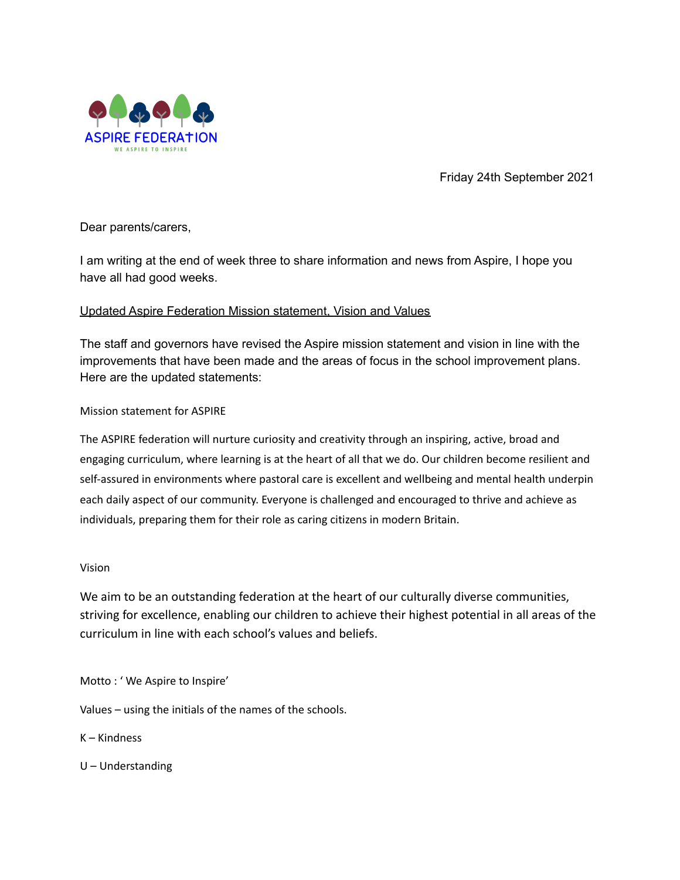

Friday 24th September 2021

Dear parents/carers,

I am writing at the end of week three to share information and news from Aspire, I hope you have all had good weeks.

# Updated Aspire Federation Mission statement, Vision and Values

The staff and governors have revised the Aspire mission statement and vision in line with the improvements that have been made and the areas of focus in the school improvement plans. Here are the updated statements:

# Mission statement for ASPIRE

The ASPIRE federation will nurture curiosity and creativity through an inspiring, active, broad and engaging curriculum, where learning is at the heart of all that we do. Our children become resilient and self-assured in environments where pastoral care is excellent and wellbeing and mental health underpin each daily aspect of our community. Everyone is challenged and encouraged to thrive and achieve as individuals, preparing them for their role as caring citizens in modern Britain.

# Vision

We aim to be an outstanding federation at the heart of our culturally diverse communities, striving for excellence, enabling our children to achieve their highest potential in all areas of the curriculum in line with each school's values and beliefs.

Motto : ' We Aspire to Inspire'

Values – using the initials of the names of the schools.

K – Kindness

U – Understanding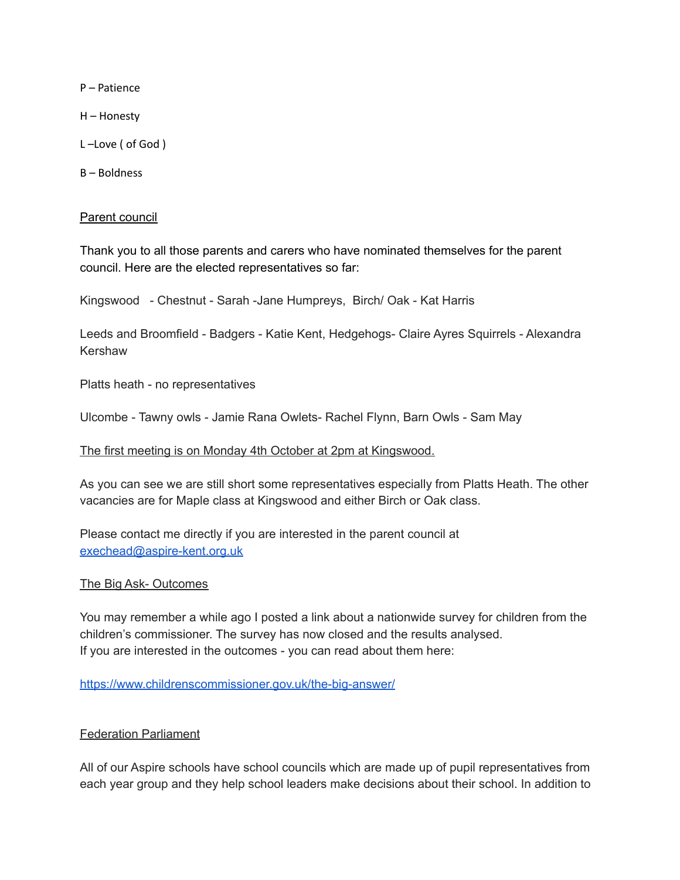P – Patience

H – Honesty

L –Love ( of God )

B – Boldness

### Parent council

Thank you to all those parents and carers who have nominated themselves for the parent council. Here are the elected representatives so far:

Kingswood - Chestnut - Sarah -Jane Humpreys, Birch/ Oak - Kat Harris

Leeds and Broomfield - Badgers - Katie Kent, Hedgehogs- Claire Ayres Squirrels - Alexandra Kershaw

Platts heath - no representatives

Ulcombe - Tawny owls - Jamie Rana Owlets- Rachel Flynn, Barn Owls - Sam May

#### The first meeting is on Monday 4th October at 2pm at Kingswood.

As you can see we are still short some representatives especially from Platts Heath. The other vacancies are for Maple class at Kingswood and either Birch or Oak class.

Please contact me directly if you are interested in the parent council at [exechead@aspire-kent.org.uk](mailto:exechead@aspire-kent.org.uk)

## The Big Ask- Outcomes

You may remember a while ago I posted a link about a nationwide survey for children from the children's commissioner. The survey has now closed and the results analysed. If you are interested in the outcomes - you can read about them here:

<https://www.childrenscommissioner.gov.uk/the-big-answer/>

## Federation Parliament

All of our Aspire schools have school councils which are made up of pupil representatives from each year group and they help school leaders make decisions about their school. In addition to